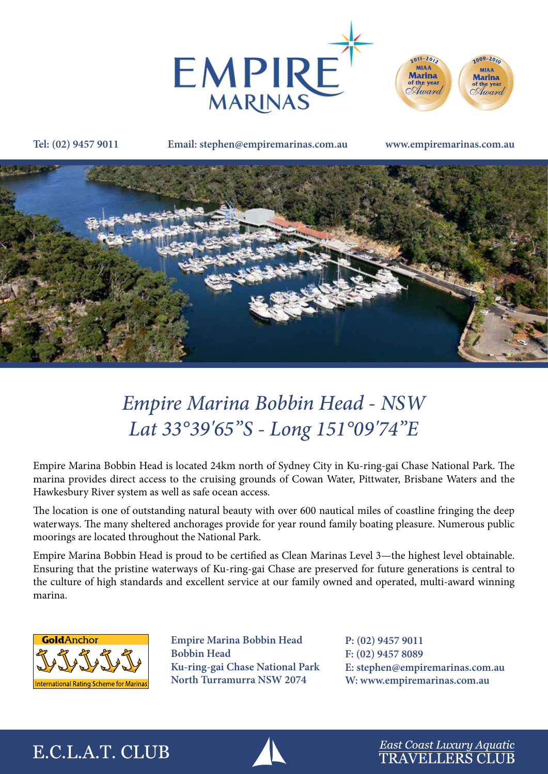



**Tel: (02) 9457 9011 Email: stephen@empiremarinas.com.au www.empiremarinas.com.au**



# *Empire Marina Bobbin Head - NSW Lat 33°39'65"S - Long 151°09'74"E*

Empire Marina Bobbin Head is located 24km north of Sydney City in Ku-ring-gai Chase National Park. The marina provides direct access to the cruising grounds of Cowan Water, Pittwater, Brisbane Waters and the Hawkesbury River system as well as safe ocean access.

The location is one of outstanding natural beauty with over 600 nautical miles of coastline fringing the deep waterways. The many sheltered anchorages provide for year round family boating pleasure. Numerous public moorings are located throughout the National Park.

Empire Marina Bobbin Head is proud to be certified as Clean Marinas Level 3—the highest level obtainable. Ensuring that the pristine waterways of Ku-ring-gai Chase are preserved for future generations is central to the culture of high standards and excellent service at our family owned and operated, multi-award winning marina.



**Empire Marina Bobbin Head Bobbin Head Ku-ring-gai Chase National Park North Turramurra NSW 2074**

**P: (02) 9457 9011 F: (02) 9457 8089 E: stephen@empiremarinas.com.au W: www.empiremarinas.com.au**

# E.C.L.A.T. CLUB



East Coast Luxury Aquatic **TRAVELLERS CLUB**